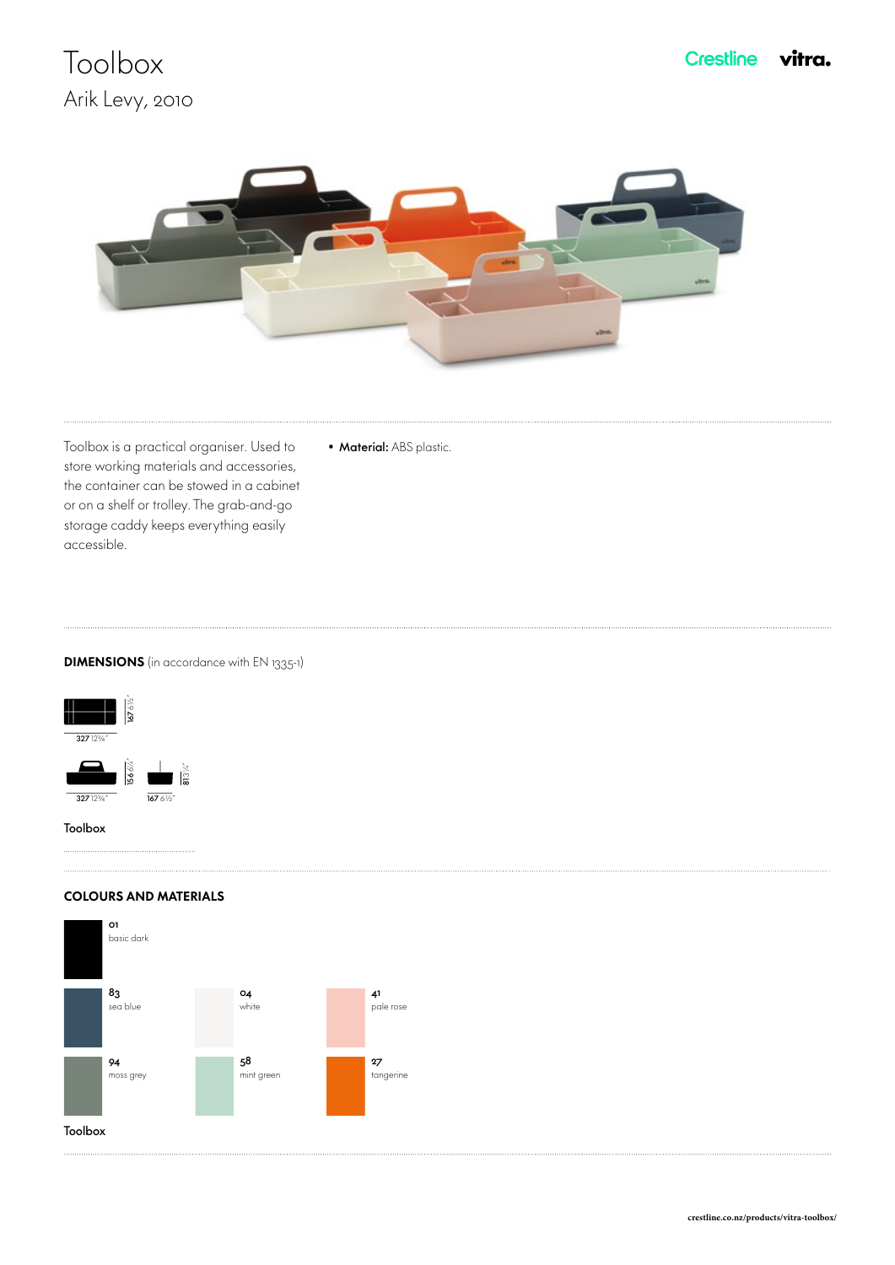# **Toolbox** Arik Levy, 2010



• Material: ABS plastic.

Toolbox is a practical organiser. Used to store working materials and accessories, the container can be stowed in a cabinet or on a shelf or trolley. The grab-and-go storage caddy keeps everything easily accessible.

### **DIMENSIONS** (in accordance with EN 1335-1)



#### COLOURS AND MATERIALS